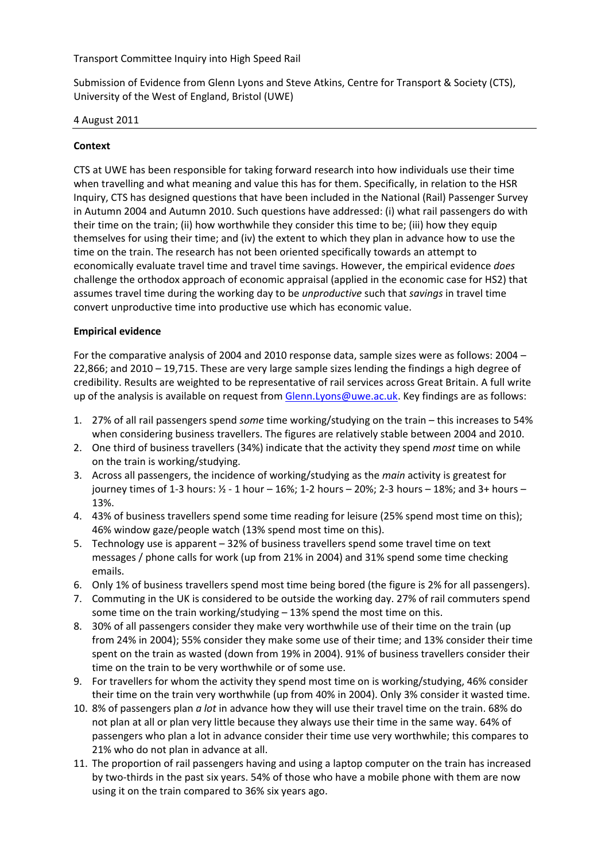Transport Committee Inquiry into High Speed Rail

Submission of Evidence from Glenn Lyons and Steve Atkins, Centre for Transport & Society (CTS), University of the West of England, Bristol (UWE)

## 4 August 2011

# **Context**

CTS at UWE has been responsible for taking forward research into how individuals use their time when travelling and what meaning and value this has for them. Specifically, in relation to the HSR Inquiry, CTS has designed questions that have been included in the National (Rail) Passenger Survey in Autumn 2004 and Autumn 2010. Such questions have addressed: (i) what rail passengers do with their time on the train; (ii) how worthwhile they consider this time to be; (iii) how they equip themselves for using their time; and (iv) the extent to which they plan in advance how to use the time on the train. The research has not been oriented specifically towards an attempt to economically evaluate travel time and travel time savings. However, the empirical evidence *does* challenge the orthodox approach of economic appraisal (applied in the economic case for HS2) that assumes travel time during the working day to be *unproductive* such that *savings* in travel time convert unproductive time into productive use which has economic value.

# **Empirical evidence**

For the comparative analysis of 2004 and 2010 response data, sample sizes were as follows: 2004 – 22,866; and 2010 – 19,715. These are very large sample sizes lending the findings a high degree of credibility. Results are weighted to be representative of rail services across Great Britain. A full write up of the analysis is available on request from Glenn[.Lyons@uwe.ac.uk.](mailto:Lyons@uwe.ac.uk) Key findings are as follows:

- 1. 27% of all rail passengers spend *some* time working/studying on the train this increases to 54% when considering business travellers. The figures are relatively stable between 2004 and 2010.
- 2. One third of business travellers (34%) indicate that the activity they spend *most* time on while on the train is working/studying.
- 3. Across all passengers, the incidence of working/studying as the *main* activity is greatest for journey times of 1‐3 hours: ½ ‐ 1 hour – 16%; 1‐2 hours – 20%; 2‐3 hours – 18%; and 3+ hours – 13%.
- 4. 43% of business travellers spend some time reading for leisure (25% spend most time on this); 46% window gaze/people watch (13% spend most time on this).
- 5. Technology use is apparent 32% of business travellers spend some travel time on text messages / phone calls for work (up from 21% in 2004) and 31% spend some time checking emails.
- 6. Only 1% of business travellers spend most time being bored (the figure is 2% for all passengers).
- 7. Commuting in the UK is considered to be outside the working day. 27% of rail commuters spend some time on the train working/studying – 13% spend the most time on this.
- 8. 30% of all passengers consider they make very worthwhile use of their time on the train (up from 24% in 2004); 55% consider they make some use of their time; and 13% consider their time spent on the train as wasted (down from 19% in 2004). 91% of business travellers consider their time on the train to be very worthwhile or of some use.
- 9. For travellers for whom the activity they spend most time on is working/studying, 46% consider their time on the train very worthwhile (up from 40% in 2004). Only 3% consider it wasted time.
- 10. 8% of passengers plan *a lot* in advance how they will use their travel time on the train. 68% do not plan at all or plan very little because they always use their time in the same way. 64% of passengers who plan a lot in advance consider their time use very worthwhile; this compares to 21% who do not plan in advance at all.
- 11. The proportion of rail passengers having and using a laptop computer on the train has increased by two-thirds in the past six years. 54% of those who have a mobile phone with them are now using it on the train compared to 36% six years ago.